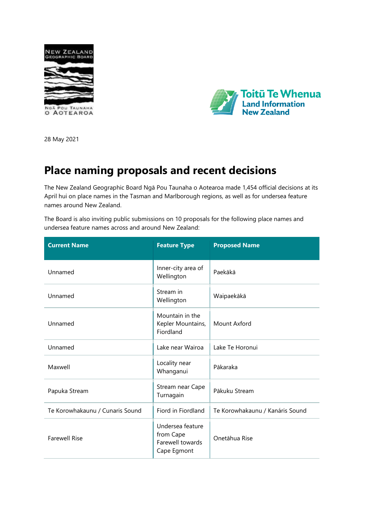



28 May 2021

## **Place naming proposals and recent decisions**

The New Zealand Geographic Board Ngā Pou Taunaha o Aotearoa made 1,454 official decisions at its April hui on place names in the Tasman and Marlborough regions, as well as for undersea feature names around New Zealand.

The Board is also inviting public submissions on 10 proposals for the following place names and undersea feature names across and around New Zealand:

| <b>Current Name</b>             | <b>Feature Type</b>                                              | <b>Proposed Name</b>            |
|---------------------------------|------------------------------------------------------------------|---------------------------------|
| Unnamed                         | Inner-city area of<br>Wellington                                 | Paekākā                         |
| Unnamed                         | Stream in<br>Wellington                                          | Waipaekākā                      |
| Unnamed                         | Mountain in the<br>Kepler Mountains,<br>Fiordland                | Mount Axford                    |
| Unnamed                         | Lake near Wairoa                                                 | Lake Te Horonui                 |
| Maxwell                         | Locality near<br>Whanganui                                       | Pākaraka                        |
| Papuka Stream                   | Stream near Cape<br>Turnagain                                    | Pākuku Stream                   |
| Te Korowhakaunu / Cunaris Sound | Fiord in Fiordland                                               | Te Korowhakaunu / Kanáris Sound |
| <b>Farewell Rise</b>            | Undersea feature<br>from Cape<br>Farewell towards<br>Cape Egmont | Onetāhua Rise                   |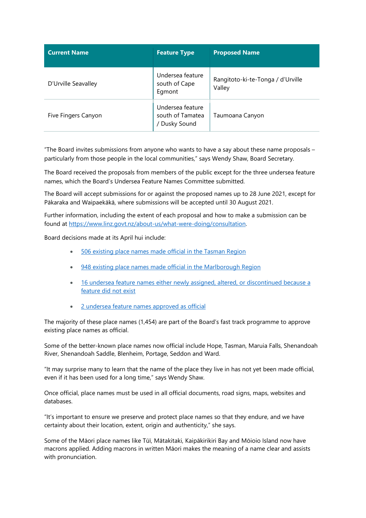| <b>Current Name</b> | <b>Feature Type</b>                                   | <b>Proposed Name</b>                        |
|---------------------|-------------------------------------------------------|---------------------------------------------|
| D'Urville Seavalley | Undersea feature<br>south of Cape<br>Egmont           | Rangitoto-ki-te-Tonga / d'Urville<br>Valley |
| Five Fingers Canyon | Undersea feature<br>south of Tamatea<br>/ Dusky Sound | Taumoana Canyon                             |

"The Board invites submissions from anyone who wants to have a say about these name proposals – particularly from those people in the local communities," says Wendy Shaw, Board Secretary.

The Board received the proposals from members of the public except for the three undersea feature names, which the Board's Undersea Feature Names Committee submitted.

The Board will accept submissions for or against the proposed names up to 28 June 2021, except for Pākaraka and Waipaekākā, where submissions will be accepted until 30 August 2021.

Further information, including the extent of each proposal and how to make a submission can be found at [https://www.linz.govt.nz/about](https://www.linz.govt.nz/about-us/what-were-doing/consultation)-us/what-were-doing/consultation.

Board decisions made at its April hui include:

- 506 existing [place names made official](https://gazette.govt.nz/notice/pdf/2021-ln2005) in the Tasman Region
- 948 existing place names made official [in the Marlborough Region](https://gazette.govt.nz/notice/pdf/2021-ln2003)
- 16 [undersea feature names either newly assigned, altered, or discontinued because a](https://gazette.govt.nz/assets/pdf-cache/2021/2021-ln2006.pdf?2021-05-28_07%3A39%3A22=)  [feature did not exist](https://gazette.govt.nz/assets/pdf-cache/2021/2021-ln2006.pdf?2021-05-28_07%3A39%3A22=)
- [2 undersea feature names approved as official](https://gazette.govt.nz/assets/pdf-cache/2021/2021-ln2004.pdf?2021-05-28_07%3A39%3A22=)

The majority of these place names (1,454) are part of the Board's fast track programme to approve existing place names as official.

Some of the better-known place names now official include Hope, Tasman, Maruia Falls, Shenandoah River, Shenandoah Saddle, Blenheim, Portage, Seddon and Ward.

"It may surprise many to learn that the name of the place they live in has not yet been made official, even if it has been used for a long time," says Wendy Shaw.

Once official, place names must be used in all official documents, road signs, maps, websites and databases.

"It's important to ensure we preserve and protect place names so that they endure, and we have certainty about their location, extent, origin and authenticity," she says.

Some of the Māori place names like Tūī, Mātakitaki, Kaipākirikiri Bay and Mōioio Island now have macrons applied. Adding macrons in written Māori makes the meaning of a name clear and assists with pronunciation.